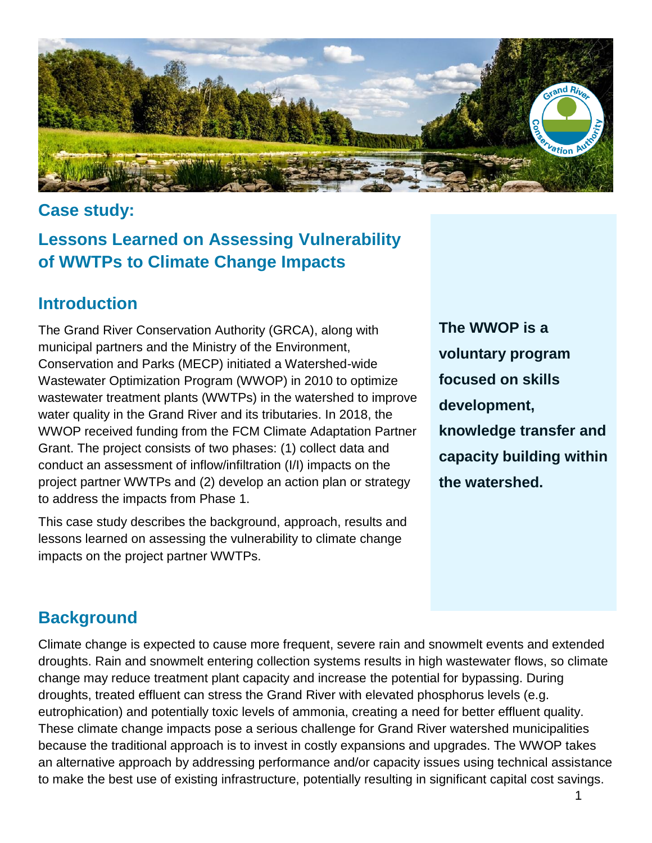

#### **Case study:**

# **Lessons Learned on Assessing Vulnerability of WWTPs to Climate Change Impacts**

#### **Introduction**

The Grand River Conservation Authority (GRCA), along with municipal partners and the Ministry of the Environment, Conservation and Parks (MECP) initiated a Watershed-wide Wastewater Optimization Program (WWOP) in 2010 to optimize wastewater treatment plants (WWTPs) in the watershed to improve water quality in the Grand River and its tributaries. In 2018, the WWOP received funding from the FCM Climate Adaptation Partner Grant. The project consists of two phases: (1) collect data and conduct an assessment of inflow/infiltration (I/I) impacts on the project partner WWTPs and (2) develop an action plan or strategy to address the impacts from Phase 1.

This case study describes the background, approach, results and lessons learned on assessing the vulnerability to climate change impacts on the project partner WWTPs.

**The WWOP is a voluntary program focused on skills development, knowledge transfer and capacity building within the watershed.**

# **Background**

Climate change is expected to cause more frequent, severe rain and snowmelt events and extended droughts. Rain and snowmelt entering collection systems results in high wastewater flows, so climate change may reduce treatment plant capacity and increase the potential for bypassing. During droughts, treated effluent can stress the Grand River with elevated phosphorus levels (e.g. eutrophication) and potentially toxic levels of ammonia, creating a need for better effluent quality. These climate change impacts pose a serious challenge for Grand River watershed municipalities because the traditional approach is to invest in costly expansions and upgrades. The WWOP takes an alternative approach by addressing performance and/or capacity issues using technical assistance to make the best use of existing infrastructure, potentially resulting in significant capital cost savings.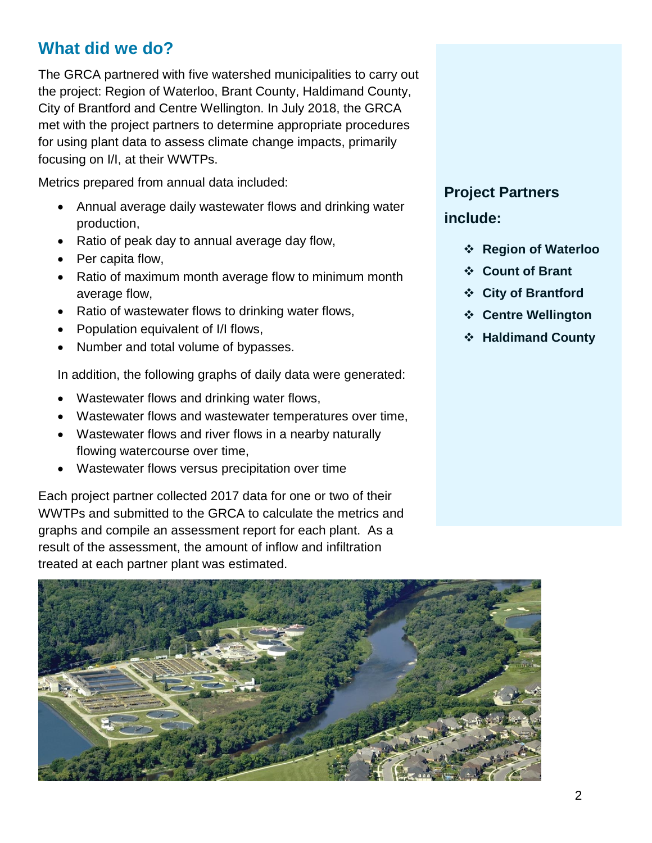#### **What did we do?**

The GRCA partnered with five watershed municipalities to carry out the project: Region of Waterloo, Brant County, Haldimand County, City of Brantford and Centre Wellington. In July 2018, the GRCA met with the project partners to determine appropriate procedures for using plant data to assess climate change impacts, primarily focusing on I/I, at their WWTPs.

Metrics prepared from annual data included:

- Annual average daily wastewater flows and drinking water production,
- Ratio of peak day to annual average day flow,
- Per capita flow,
- Ratio of maximum month average flow to minimum month average flow,
- Ratio of wastewater flows to drinking water flows,
- Population equivalent of I/I flows,
- Number and total volume of bypasses.

In addition, the following graphs of daily data were generated:

- Wastewater flows and drinking water flows,
- Wastewater flows and wastewater temperatures over time,
- Wastewater flows and river flows in a nearby naturally flowing watercourse over time,
- Wastewater flows versus precipitation over time

Each project partner collected 2017 data for one or two of their WWTPs and submitted to the GRCA to calculate the metrics and graphs and compile an assessment report for each plant. As a result of the assessment, the amount of inflow and infiltration treated at each partner plant was estimated.

# **Project Partners**

**include:**

- **Region of Waterloo**
- **Count of Brant**
- **City of Brantford**
- **Centre Wellington**
- **Haldimand County**

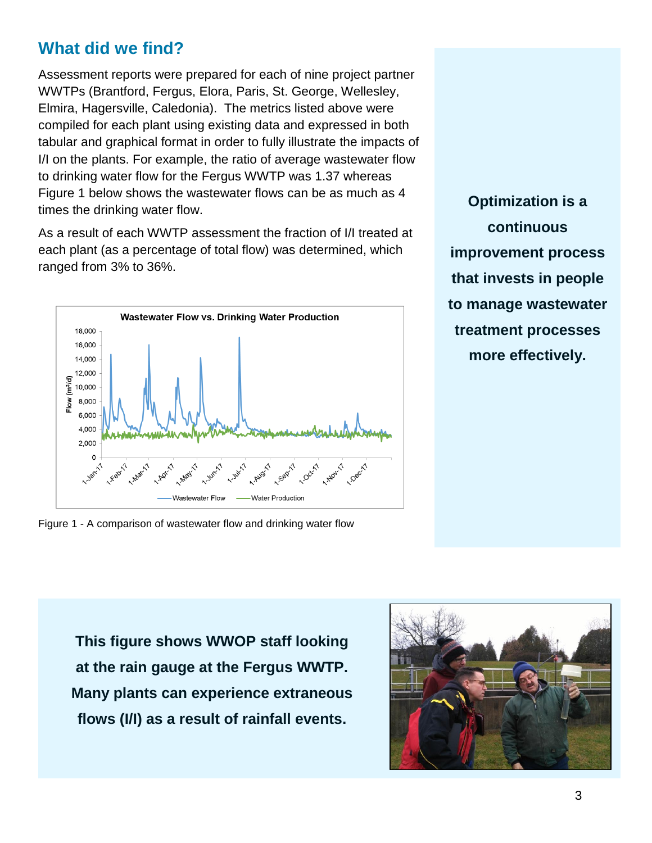#### **What did we find?**

Assessment reports were prepared for each of nine project partner WWTPs (Brantford, Fergus, Elora, Paris, St. George, Wellesley, Elmira, Hagersville, Caledonia). The metrics listed above were compiled for each plant using existing data and expressed in both tabular and graphical format in order to fully illustrate the impacts of I/I on the plants. For example, the ratio of average wastewater flow to drinking water flow for the Fergus WWTP was 1.37 whereas Figure 1 below shows the wastewater flows can be as much as 4 times the drinking water flow.

As a result of each WWTP assessment the fraction of I/I treated at each plant (as a percentage of total flow) was determined, which ranged from 3% to 36%.



Figure 1 - A comparison of wastewater flow and drinking water flow

**Optimization is a continuous improvement process that invests in people to manage wastewater treatment processes more effectively.**

**This figure shows WWOP staff looking at the rain gauge at the Fergus WWTP. Many plants can experience extraneous flows (I/I) as a result of rainfall events.**